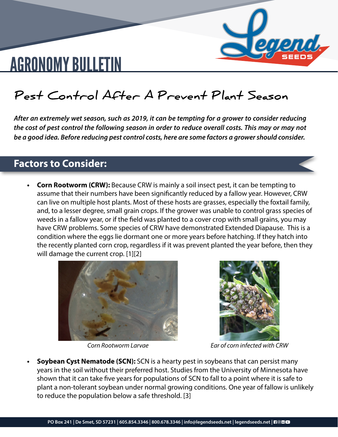

# AGRONOMY BULLETIN

### **Pest Control After A Prevent Plant Season**

*After an extremely wet season, such as 2019, it can be tempting for a grower to consider reducing the cost of pest control the following season in order to reduce overall costs. This may or may not be a good idea. Before reducing pest control costs, here are some factors a grower should consider.*

### **Factors to Consider:**

**Corn Rootworm (CRW):** Because CRW is mainly a soil insect pest, it can be tempting to assume that their numbers have been significantly reduced by a fallow year. However, CRW can live on multiple host plants. Most of these hosts are grasses, especially the foxtail family, and, to a lesser degree, small grain crops. If the grower was unable to control grass species of weeds in a fallow year, or if the field was planted to a cover crop with small grains, you may have CRW problems. Some species of CRW have demonstrated Extended Diapause. This is a condition where the eggs lie dormant one or more years before hatching. If they hatch into the recently planted corn crop, regardless if it was prevent planted the year before, then they will damage the current crop. [1][2]





*Corn Rootworm Larvae Ear of corn infected with CRW*

**Soybean Cyst Nematode (SCN):** SCN is a hearty pest in soybeans that can persist many years in the soil without their preferred host. Studies from the University of Minnesota have shown that it can take five years for populations of SCN to fall to a point where it is safe to plant a non-tolerant soybean under normal growing conditions. One year of fallow is unlikely to reduce the population below a safe threshold. [3]